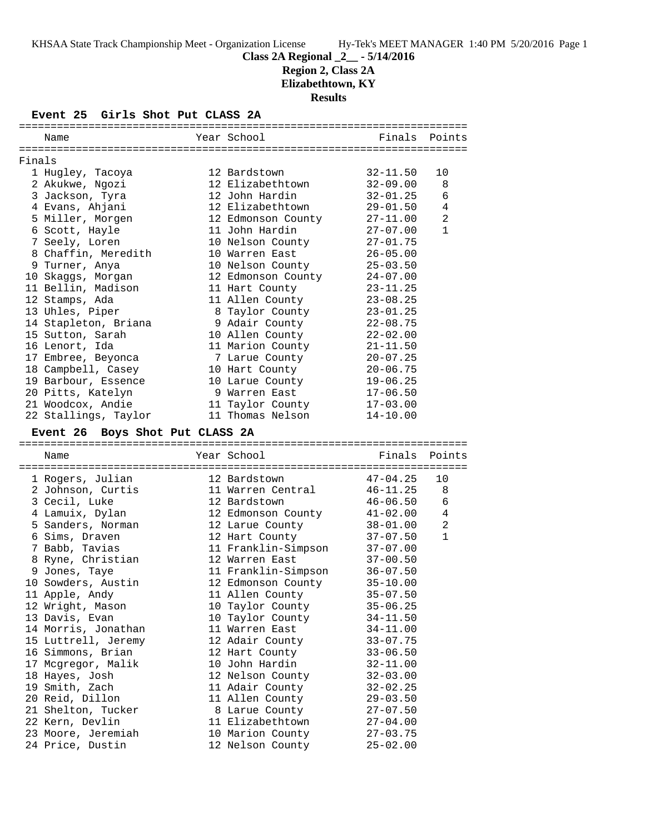# **Class 2A Regional \_2\_\_ - 5/14/2016**

**Region 2, Class 2A**

**Elizabethtown, KY**

**Results**

## **Event 25 Girls Shot Put CLASS 2A**

|                                 | Name                                   |  | Year School                          | Finals                       | Points       |  |  |
|---------------------------------|----------------------------------------|--|--------------------------------------|------------------------------|--------------|--|--|
| Finals                          |                                        |  |                                      |                              |              |  |  |
|                                 | 1 Hugley, Tacoya                       |  | 12 Bardstown                         | $32 - 11.50$                 | 10           |  |  |
|                                 | 2 Akukwe, Ngozi                        |  | 12 Elizabethtown                     | $32 - 09.00$                 | 8            |  |  |
|                                 | 3 Jackson, Tyra                        |  | 12 John Hardin                       | $32 - 01.25$                 | 6            |  |  |
|                                 | 4 Evans, Ahjani                        |  | 12 Elizabethtown                     | $29 - 01.50$                 | 4            |  |  |
|                                 | 5 Miller, Morgen                       |  | 12 Edmonson County                   | $27 - 11.00$                 | 2            |  |  |
|                                 | 6 Scott, Hayle                         |  | 11 John Hardin                       | $27 - 07.00$                 | $\mathbf{1}$ |  |  |
|                                 | 7 Seely, Loren                         |  | 10 Nelson County                     | $27 - 01.75$                 |              |  |  |
|                                 | 8 Chaffin, Meredith                    |  | 10 Warren East                       | $26 - 05.00$                 |              |  |  |
|                                 | 9 Turner, Anya                         |  | 10 Nelson County                     | $25 - 03.50$                 |              |  |  |
|                                 | 10 Skaggs, Morgan                      |  | 12 Edmonson County                   | $24 - 07.00$                 |              |  |  |
|                                 | 11 Bellin, Madison                     |  | 11 Hart County                       | $23 - 11.25$                 |              |  |  |
|                                 | 12 Stamps, Ada                         |  | 11 Allen County                      | $23 - 08.25$                 |              |  |  |
|                                 | 13 Uhles, Piper                        |  | 8 Taylor County                      | $23 - 01.25$                 |              |  |  |
|                                 | 14 Stapleton, Briana                   |  | 9 Adair County                       | $22 - 08.75$                 |              |  |  |
|                                 | 15 Sutton, Sarah                       |  | 10 Allen County                      | $22 - 02.00$                 |              |  |  |
|                                 | 16 Lenort, Ida                         |  | 11 Marion County                     | $21 - 11.50$                 |              |  |  |
|                                 | 17 Embree, Beyonca                     |  | 7 Larue County                       | $20 - 07.25$                 |              |  |  |
|                                 | 18 Campbell, Casey                     |  | 10 Hart County                       | $20 - 06.75$                 |              |  |  |
|                                 | 19 Barbour, Essence                    |  | 10 Larue County                      | $19 - 06.25$                 |              |  |  |
|                                 | 20 Pitts, Katelyn                      |  | 9 Warren East                        | $17 - 06.50$                 |              |  |  |
|                                 | 21 Woodcox, Andie                      |  | 11 Taylor County                     | $17 - 03.00$                 |              |  |  |
|                                 | 22 Stallings, Taylor                   |  | 11 Thomas Nelson                     | $14 - 10.00$                 |              |  |  |
|                                 |                                        |  |                                      |                              |              |  |  |
| Event 26 Boys Shot Put CLASS 2A |                                        |  |                                      |                              |              |  |  |
|                                 |                                        |  |                                      |                              |              |  |  |
|                                 | Name                                   |  | Year School                          | Finals                       | Points       |  |  |
|                                 |                                        |  |                                      |                              |              |  |  |
|                                 | 1 Rogers, Julian                       |  | 12 Bardstown                         | $47 - 04.25$                 | 10           |  |  |
|                                 | 2 Johnson, Curtis                      |  | 11 Warren Central                    | $46 - 11.25$                 | 8            |  |  |
|                                 | 3 Cecil, Luke                          |  | 12 Bardstown                         | 46-06.50                     | 6            |  |  |
|                                 | 4 Lamuix, Dylan                        |  | 12 Edmonson County                   | $41 - 02.00$                 | 4            |  |  |
|                                 | 5 Sanders, Norman                      |  | 12 Larue County                      | $38 - 01.00$                 | 2            |  |  |
|                                 | 6 Sims, Draven                         |  | 12 Hart County                       | $37 - 07.50$                 | $\mathbf{1}$ |  |  |
|                                 | 7 Babb, Tavias                         |  | 11 Franklin-Simpson                  | $37 - 07.00$                 |              |  |  |
|                                 | 8 Ryne, Christian                      |  | 12 Warren East                       | $37 - 00.50$                 |              |  |  |
|                                 | 9 Jones, Taye                          |  | 11 Franklin-Simpson                  | $36 - 07.50$                 |              |  |  |
|                                 | 10 Sowders, Austin                     |  | 12 Edmonson County                   | $35 - 10.00$                 |              |  |  |
|                                 | 11 Apple, Andy                         |  | 11 Allen County                      | $35 - 07.50$                 |              |  |  |
|                                 | 12 Wright, Mason                       |  | 10 Taylor County                     | $35 - 06.25$                 |              |  |  |
|                                 | 13 Davis, Evan                         |  | 10 Taylor County                     | $34 - 11.50$                 |              |  |  |
|                                 | 14 Morris, Jonathan                    |  | 11 Warren East                       | $34 - 11.00$                 |              |  |  |
|                                 | 15 Luttrell, Jeremy                    |  | 12 Adair County                      | $33 - 07.75$                 |              |  |  |
|                                 | 16 Simmons, Brian                      |  | 12 Hart County                       | $33 - 06.50$                 |              |  |  |
|                                 | 17 Mcgregor, Malik                     |  | 10 John Hardin                       | $32 - 11.00$                 |              |  |  |
|                                 | 18 Hayes, Josh                         |  | 12 Nelson County                     | $32 - 03.00$                 |              |  |  |
|                                 | 19 Smith, Zach                         |  | 11 Adair County                      | $32 - 02.25$                 |              |  |  |
|                                 | 20 Reid, Dillon                        |  | 11 Allen County                      | $29 - 03.50$                 |              |  |  |
|                                 | 21 Shelton, Tucker                     |  | 8 Larue County                       | $27 - 07.50$                 |              |  |  |
|                                 | 22 Kern, Devlin                        |  | 11 Elizabethtown                     | $27 - 04.00$                 |              |  |  |
|                                 | 23 Moore, Jeremiah<br>24 Price, Dustin |  | 10 Marion County<br>12 Nelson County | $27 - 03.75$<br>$25 - 02.00$ |              |  |  |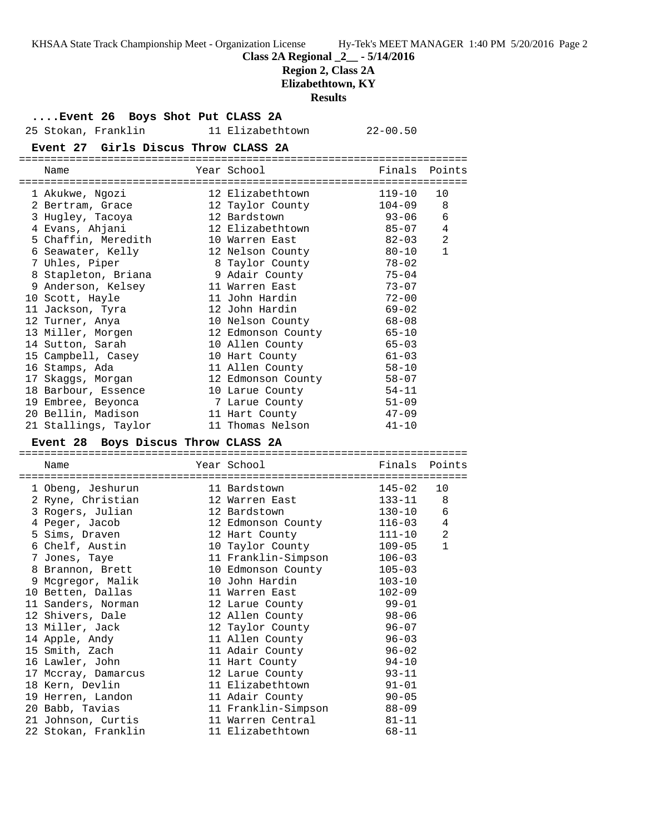KHSAA State Track Championship Meet - Organization License Hy-Tek's MEET MANAGER 1:40 PM 5/20/2016 Page 2

**Class 2A Regional \_2\_\_ - 5/14/2016**

**Region 2, Class 2A**

**Elizabethtown, KY**

**Results**

**....Event 26 Boys Shot Put CLASS 2A**

25 Stokan, Franklin 11 Elizabethtown 22-00.50

**Event 27 Girls Discus Throw CLASS 2A**

| Name |                                                                                                                                                                                                                                                                                                                                                                                                                            |                    | Finals                                                                                                                                                                                                                                                                                                                                                                                                                  | Points                          |
|------|----------------------------------------------------------------------------------------------------------------------------------------------------------------------------------------------------------------------------------------------------------------------------------------------------------------------------------------------------------------------------------------------------------------------------|--------------------|-------------------------------------------------------------------------------------------------------------------------------------------------------------------------------------------------------------------------------------------------------------------------------------------------------------------------------------------------------------------------------------------------------------------------|---------------------------------|
|      |                                                                                                                                                                                                                                                                                                                                                                                                                            |                    | $119 - 10$                                                                                                                                                                                                                                                                                                                                                                                                              | 10                              |
|      |                                                                                                                                                                                                                                                                                                                                                                                                                            |                    | $104 - 09$                                                                                                                                                                                                                                                                                                                                                                                                              | 8                               |
|      |                                                                                                                                                                                                                                                                                                                                                                                                                            |                    | $93 - 06$                                                                                                                                                                                                                                                                                                                                                                                                               | 6                               |
|      |                                                                                                                                                                                                                                                                                                                                                                                                                            |                    | 85-07                                                                                                                                                                                                                                                                                                                                                                                                                   | 4                               |
|      |                                                                                                                                                                                                                                                                                                                                                                                                                            |                    | 82-03                                                                                                                                                                                                                                                                                                                                                                                                                   | $\overline{2}$                  |
|      |                                                                                                                                                                                                                                                                                                                                                                                                                            |                    | $80 - 10$                                                                                                                                                                                                                                                                                                                                                                                                               | $\mathbf{1}$                    |
|      |                                                                                                                                                                                                                                                                                                                                                                                                                            |                    | $78 - 02$                                                                                                                                                                                                                                                                                                                                                                                                               |                                 |
|      |                                                                                                                                                                                                                                                                                                                                                                                                                            |                    | $75 - 04$                                                                                                                                                                                                                                                                                                                                                                                                               |                                 |
|      |                                                                                                                                                                                                                                                                                                                                                                                                                            |                    | $73 - 07$                                                                                                                                                                                                                                                                                                                                                                                                               |                                 |
|      |                                                                                                                                                                                                                                                                                                                                                                                                                            |                    | $72 - 00$                                                                                                                                                                                                                                                                                                                                                                                                               |                                 |
|      |                                                                                                                                                                                                                                                                                                                                                                                                                            |                    | $69 - 02$                                                                                                                                                                                                                                                                                                                                                                                                               |                                 |
|      |                                                                                                                                                                                                                                                                                                                                                                                                                            |                    | 68-08                                                                                                                                                                                                                                                                                                                                                                                                                   |                                 |
|      |                                                                                                                                                                                                                                                                                                                                                                                                                            |                    |                                                                                                                                                                                                                                                                                                                                                                                                                         |                                 |
|      |                                                                                                                                                                                                                                                                                                                                                                                                                            |                    | $65 - 03$                                                                                                                                                                                                                                                                                                                                                                                                               |                                 |
|      |                                                                                                                                                                                                                                                                                                                                                                                                                            |                    | $61 - 03$                                                                                                                                                                                                                                                                                                                                                                                                               |                                 |
|      |                                                                                                                                                                                                                                                                                                                                                                                                                            |                    | $58 - 10$                                                                                                                                                                                                                                                                                                                                                                                                               |                                 |
|      |                                                                                                                                                                                                                                                                                                                                                                                                                            |                    | $58 - 07$                                                                                                                                                                                                                                                                                                                                                                                                               |                                 |
|      |                                                                                                                                                                                                                                                                                                                                                                                                                            |                    | $54 - 11$                                                                                                                                                                                                                                                                                                                                                                                                               |                                 |
|      |                                                                                                                                                                                                                                                                                                                                                                                                                            |                    | $51 - 09$                                                                                                                                                                                                                                                                                                                                                                                                               |                                 |
|      |                                                                                                                                                                                                                                                                                                                                                                                                                            |                    | 47-09                                                                                                                                                                                                                                                                                                                                                                                                                   |                                 |
|      |                                                                                                                                                                                                                                                                                                                                                                                                                            |                    | $41 - 10$                                                                                                                                                                                                                                                                                                                                                                                                               |                                 |
|      | 1 Akukwe, Ngozi<br>2 Bertram, Grace<br>3 Hugley, Tacoya<br>4 Evans, Ahjani<br>5 Chaffin, Meredith<br>6 Seawater, Kelly<br>7 Uhles, Piper<br>8 Stapleton, Briana<br>9 Anderson, Kelsey<br>10 Scott, Hayle<br>11 Jackson, Tyra<br>12 Turner, Anya<br>13 Miller, Morgen<br>14 Sutton, Sarah<br>16 Stamps, Ada<br>17 Skaqqs, Morqan<br>18 Barbour, Essence<br>19 Embree, Beyonca<br>20 Bellin, Madison<br>21 Stallings, Taylor | 15 Campbell, Casey | Year School<br>==============<br>12 Elizabethtown<br>12 Taylor County<br>12 Bardstown<br>12 Elizabethtown<br>10 Warren East<br>12 Nelson County<br>8 Taylor County<br>9 Adair County<br>11 Warren East<br>11 John Hardin<br>12 John Hardin<br>10 Nelson County<br>12 Edmonson County<br>10 Allen County<br>10 Hart County<br>11 Allen County<br>10 Larue County<br>7 Larue County<br>11 Hart County<br>11 Thomas Nelson | $65 - 10$<br>12 Edmonson County |

=======================================================================

#### **Event 28 Boys Discus Throw CLASS 2A**

======================================================================= Name **Name** Year School **Finals Points** ======================================================================= 1 Obeng, Jeshurun 11 Bardstown 145-02 10 2 Ryne, Christian 12 Warren East 133-11 8 3 Rogers, Julian 12 Bardstown 130-10 6 4 Peger, Jacob 12 Edmonson County 116-03 4 5 Sims, Draven 12 Hart County 111-10 2 6 Chelf, Austin 10 Taylor County 109-05 1 7 Jones, Taye 11 Franklin-Simpson 106-03 8 Brannon, Brett 10 Edmonson County 105-03 9 Mcgregor, Malik 10 John Hardin 103-10 10 Betten, Dallas 11 Warren East 102-09 11 Sanders, Norman 12 Larue County 99-01 12 Shivers, Dale 12 Allen County 98-06 13 Miller, Jack 12 Taylor County 96-07 14 Apple, Andy 11 Allen County 96-03 15 Smith, Zach 11 Adair County 96-02 16 Lawler, John 11 Hart County 94-10 17 Mccray, Damarcus 12 Larue County 93-11 18 Kern, Devlin 11 Elizabethtown 91-01 19 Herren, Landon 11 Adair County 90-05 20 Babb, Tavias 11 Franklin-Simpson 88-09 21 Johnson, Curtis 11 Warren Central 81-11 22 Stokan, Franklin 11 Elizabethtown 68-11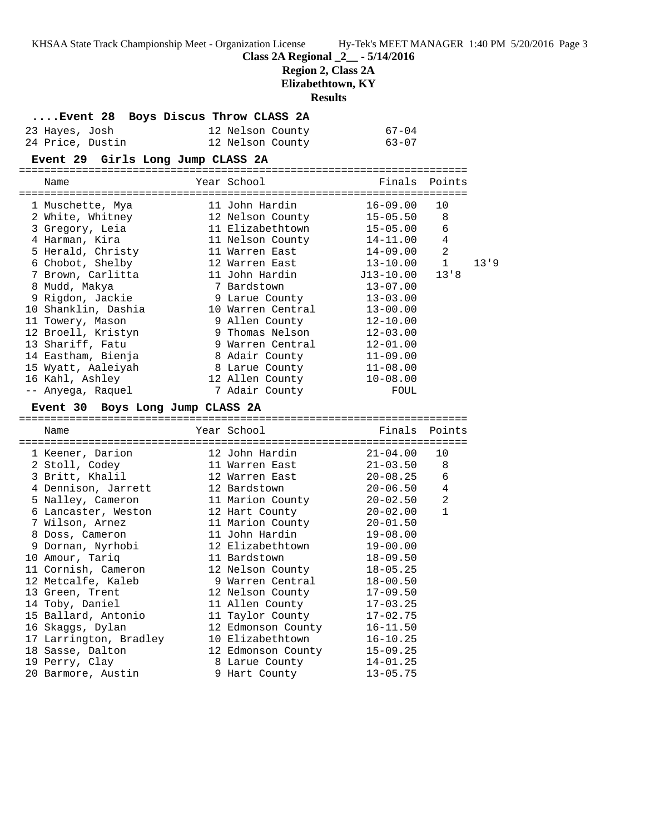KHSAA State Track Championship Meet - Organization License Hy-Tek's MEET MANAGER 1:40 PM 5/20/2016 Page 3 **Class 2A Regional \_2\_\_ - 5/14/2016 Region 2, Class 2A Elizabethtown, KY Results ....Event 28 Boys Discus Throw CLASS 2A**

| 23 Hayes, Josh   | 12 Nelson County | 67-04 |
|------------------|------------------|-------|
| 24 Price, Dustin | 12 Nelson County | 63-07 |

**Event 29 Girls Long Jump CLASS 2A**

| ==========                                                  |                         |               |                |      |
|-------------------------------------------------------------|-------------------------|---------------|----------------|------|
| Name                                                        | Year School             | Finals Points |                |      |
| 1 Muschette, Mya                           11 John Hardin   |                         | $16 - 09.00$  | 10             |      |
| 2 White, Whitney 12 Nelson County                           |                         | $15 - 05.50$  | 8              |      |
| 3 Gregory, Leia                                             | 11 Elizabethtown        | 15-05.00      | 6              |      |
| 4 Harman, Kira                                              | 11 Nelson County        | 14-11.00      | $\overline{4}$ |      |
| 5 Herald, Christy                                           | 11 Warren East          | 14-09.00      | $\overline{2}$ |      |
| 6 Chobot, Shelby                                            | 12 Warren East 13-10.00 |               | 1              | 13'9 |
| 7 Brown, Carlitta                                           |                         |               | 13'8           |      |
| 8 Mudd, Makya                                               | 7 Bardstown             | $13 - 07.00$  |                |      |
| 9 Rigdon, Jackie                                            | 9 Larue County          | $13 - 03.00$  |                |      |
| 10 Shanklin, Dashia                                         | 10 Warren Central       | $13 - 00.00$  |                |      |
| 11 Towery, Mason                                            | 9 Allen County          | $12 - 10.00$  |                |      |
| 12 Broell, Kristyn                                          | 9 Thomas Nelson         | $12 - 03.00$  |                |      |
| 13 Shariff, Fatu                                            | 9 Warren Central        | $12 - 01.00$  |                |      |
| 14 Eastham, Bienja                                          | 8 Adair County          | $11 - 09.00$  |                |      |
| 15 Wyatt, Aaleiyah                                          | 8 Larue County          | $11 - 08.00$  |                |      |
| 16 Kahl, Ashley                                             | 12 Allen County         | $10 - 08.00$  |                |      |
| -- Anyega, Raquel                                           | 7 Adair County          | FOUL          |                |      |
| Event 30 Boys Long Jump CLASS 2A                            |                         |               |                |      |
| Name                                                        | Year School             | Finals Points |                |      |
| $\frac{1}{1}$ Koener Darien (19. John Hardin (19. 01-04.00) |                         |               |                |      |

| 1 Keener, Darion       | 12 John Hardin            | $21 - 04.00$ | 10             |
|------------------------|---------------------------|--------------|----------------|
| 2 Stoll, Codey         | 11 Warren East            | $21 - 03.50$ | 8              |
| 3 Britt, Khalil        | 12 Warren East 20-08.25   |              | 6              |
| 4 Dennison, Jarrett    | 12 Bardstown 20-06.50     |              | $\overline{4}$ |
| 5 Nalley, Cameron      | 11 Marion County 20-02.50 |              | $\overline{2}$ |
| 6 Lancaster, Weston    | 12 Hart County 20-02.00   |              | $\mathbf{1}$   |
| 7 Wilson, Arnez        | 11 Marion County          | $20 - 01.50$ |                |
| 8 Doss, Cameron        | 11 John Hardin            | $19 - 08.00$ |                |
| 9 Dornan, Nyrhobi      | 12 Elizabethtown          | $19 - 00.00$ |                |
| 10 Amour, Tariq        | 11 Bardstown              | 18-09.50     |                |
| 11 Cornish, Cameron    | 12 Nelson County 18-05.25 |              |                |
| 12 Metcalfe, Kaleb     | 9 Warren Central 18-00.50 |              |                |
| 13 Green, Trent        | 12 Nelson County 17-09.50 |              |                |
| 14 Toby, Daniel        | 11 Allen County 17-03.25  |              |                |
| 15 Ballard, Antonio    | 11 Taylor County 17-02.75 |              |                |
| 16 Skaqqs, Dylan       | 12 Edmonson County        | $16 - 11.50$ |                |
| 17 Larrington, Bradley | 10 Elizabethtown          | $16 - 10.25$ |                |
| 18 Sasse, Dalton       | 12 Edmonson County        | $15 - 09.25$ |                |
| 19 Perry, Clay         | 8 Larue County            | $14 - 01.25$ |                |
| 20 Barmore, Austin     | 9 Hart County             | $13 - 05.75$ |                |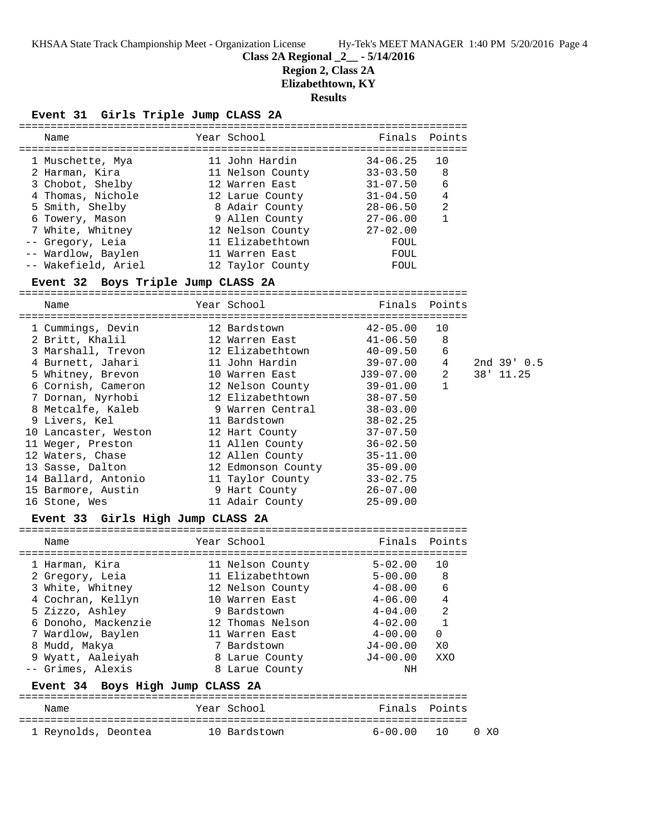KHSAA State Track Championship Meet - Organization License Hy-Tek's MEET MANAGER 1:40 PM 5/20/2016 Page 4

#### **Class 2A Regional \_2\_\_ - 5/14/2016**

## **Region 2, Class 2A**

**Elizabethtown, KY**

**Results**

# **Event 31 Girls Triple Jump CLASS 2A**

| Event 31<br>Girls Triple Jump CLASS 2A |                           |               |                |             |
|----------------------------------------|---------------------------|---------------|----------------|-------------|
| Name                                   | Year School               |               | Finals Points  |             |
| 1 Muschette, Mya                       | 11 John Hardin            | $34 - 06.25$  | 10             |             |
| 2 Harman, Kira                         | 11 Nelson County          | $33 - 03.50$  | 8              |             |
| 3 Chobot, Shelby                       | 12 Warren East            | $31 - 07.50$  | 6              |             |
| 4 Thomas, Nichole                      | 12 Larue County           | $31 - 04.50$  | $\overline{4}$ |             |
| 5 Smith, Shelby                        | 8 Adair County            | $28 - 06.50$  | 2              |             |
| 6 Towery, Mason                        | 9 Allen County 27-06.00   |               | $\mathbf{1}$   |             |
| 7 White, Whitney                       | 12 Nelson County          | $27 - 02.00$  |                |             |
| -- Gregory, Leia                       | 11 Elizabethtown          | FOUL          |                |             |
| -- Wardlow, Baylen                     | 11 Warren East            | FOUL          |                |             |
| -- Wakefield, Ariel                    | 12 Taylor County          | FOUL          |                |             |
| Event 32 Boys Triple Jump CLASS 2A     |                           |               |                |             |
| Name                                   | Year School               | Finals        | Points         |             |
| 1 Cummings, Devin                      | 12 Bardstown              | $42 - 05.00$  | 10             |             |
| 2 Britt, Khalil                        | 12 Warren East            | 41-06.50      | 8              |             |
| 3 Marshall, Trevon                     | 12 Elizabethtown          | $40 - 09.50$  | 6              |             |
| 4 Burnett, Jahari                      | 11 John Hardin            | $39 - 07.00$  | 4              | 2nd 39' 0.5 |
| 5 Whitney, Brevon                      | 10 Warren East            | $J39-07.00$   | 2              | 38' 11.25   |
| 6 Cornish, Cameron                     | 12 Nelson County 39-01.00 |               | $\mathbf{1}$   |             |
| 7 Dornan, Nyrhobi                      | 12 Elizabethtown          | $38 - 07.50$  |                |             |
| 8 Metcalfe, Kaleb                      | 9 Warren Central          | $38 - 03.00$  |                |             |
| 9 Livers, Kel                          | 11 Bardstown              | $38 - 02.25$  |                |             |
| 10 Lancaster, Weston                   | 12 Hart County            | $37 - 07.50$  |                |             |
| 11 Weger, Preston                      | 11 Allen County           | $36 - 02.50$  |                |             |
| 12 Waters, Chase                       | 12 Allen County           | $35 - 11.00$  |                |             |
| 13 Sasse, Dalton                       | 12 Edmonson County        | $35 - 09.00$  |                |             |
| 14 Ballard, Antonio                    | 11 Taylor County          | $33 - 02.75$  |                |             |
| 15 Barmore, Austin                     | 9 Hart County             | $26 - 07.00$  |                |             |
| 16 Stone, Wes                          | 11 Adair County           | $25 - 09.00$  |                |             |
| Event 33 Girls High Jump CLASS 2A      |                           |               |                |             |
| Name                                   | Year School               | Finals Points |                |             |
| 1 Harman, Kira                         | 11 Nelson County          | $5 - 02.00$   | 10             |             |
| 2 Gregory, Leia                        | 11 Elizabethtown          | $5 - 00.00$   | 8              |             |
| 3 White, Whitney                       | 12 Nelson County          | $4 - 08.00$   | 6              |             |

Name Year School Finals Points ======================================================================= 1 Reynolds, Deontea 10 Bardstown 6-00.00 10 0 X0

**Event 34 Boys High Jump CLASS 2A**

-- Grimes, Alexis 8 Larue County NH

 4 Cochran, Kellyn 10 Warren East 4-06.00 4 5 Zizzo, Ashley 9 Bardstown 4-04.00 2 6 Donoho, Mackenzie 12 Thomas Nelson 4-02.00 1 7 Wardlow, Baylen 11 Warren East 4-00.00 0 8 Mudd, Makya 7 Bardstown J4-00.00 X0 9 Wyatt, Aaleiyah 8 Larue County J4-00.00 XXO

=======================================================================